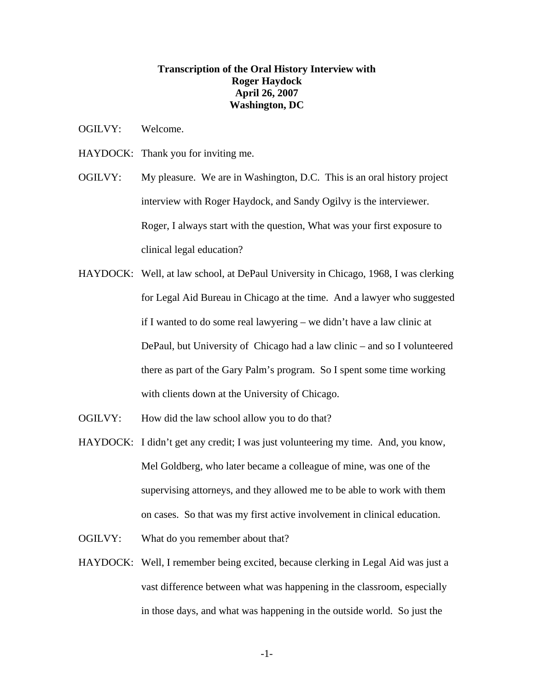## **Transcription of the Oral History Interview with Roger Haydock April 26, 2007 Washington, DC**

- OGILVY: Welcome.
- HAYDOCK: Thank you for inviting me.
- OGILVY: My pleasure. We are in Washington, D.C. This is an oral history project interview with Roger Haydock, and Sandy Ogilvy is the interviewer. Roger, I always start with the question, What was your first exposure to clinical legal education?
- HAYDOCK: Well, at law school, at DePaul University in Chicago, 1968, I was clerking for Legal Aid Bureau in Chicago at the time. And a lawyer who suggested if I wanted to do some real lawyering – we didn't have a law clinic at DePaul, but University of Chicago had a law clinic – and so I volunteered there as part of the Gary Palm's program. So I spent some time working with clients down at the University of Chicago.
- OGILVY: How did the law school allow you to do that?
- HAYDOCK: I didn't get any credit; I was just volunteering my time. And, you know, Mel Goldberg, who later became a colleague of mine, was one of the supervising attorneys, and they allowed me to be able to work with them on cases. So that was my first active involvement in clinical education.
- OGILVY: What do you remember about that?
- HAYDOCK: Well, I remember being excited, because clerking in Legal Aid was just a vast difference between what was happening in the classroom, especially in those days, and what was happening in the outside world. So just the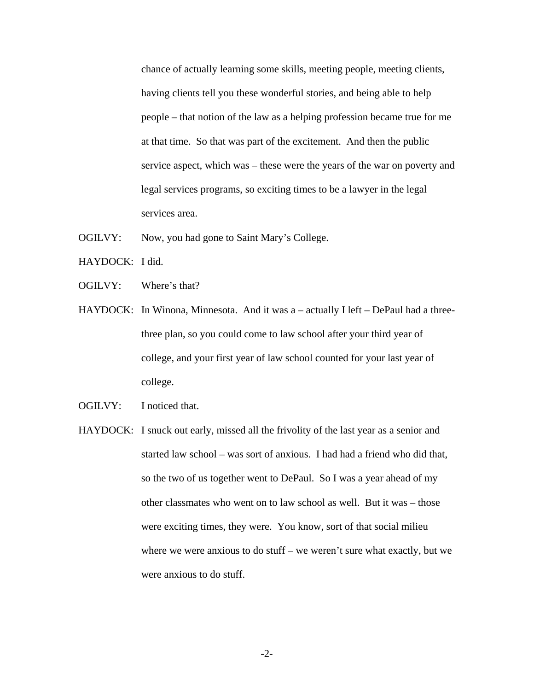chance of actually learning some skills, meeting people, meeting clients, having clients tell you these wonderful stories, and being able to help people – that notion of the law as a helping profession became true for me at that time. So that was part of the excitement. And then the public service aspect, which was – these were the years of the war on poverty and legal services programs, so exciting times to be a lawyer in the legal services area.

- OGILVY: Now, you had gone to Saint Mary's College.
- HAYDOCK: I did.
- OGILVY: Where's that?
- HAYDOCK: In Winona, Minnesota. And it was a actually I left DePaul had a threethree plan, so you could come to law school after your third year of college, and your first year of law school counted for your last year of college.
- OGILVY: I noticed that.
- HAYDOCK: I snuck out early, missed all the frivolity of the last year as a senior and started law school – was sort of anxious. I had had a friend who did that, so the two of us together went to DePaul. So I was a year ahead of my other classmates who went on to law school as well. But it was – those were exciting times, they were. You know, sort of that social milieu where we were anxious to do stuff – we weren't sure what exactly, but we were anxious to do stuff.

-2-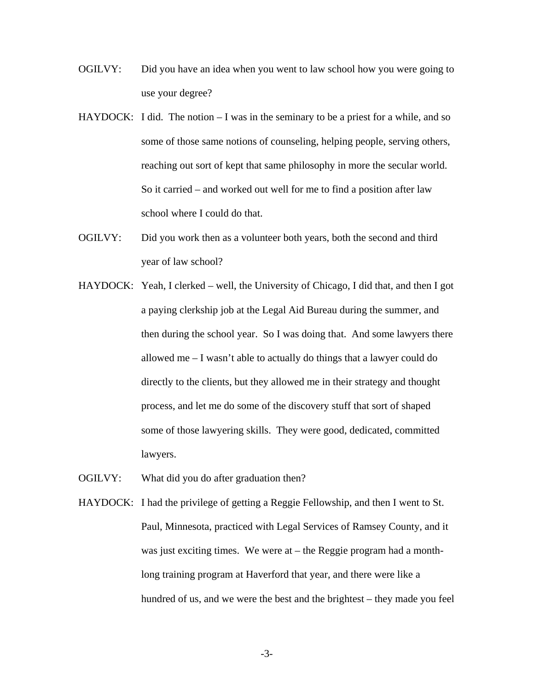- OGILVY: Did you have an idea when you went to law school how you were going to use your degree?
- HAYDOCK: I did. The notion I was in the seminary to be a priest for a while, and so some of those same notions of counseling, helping people, serving others, reaching out sort of kept that same philosophy in more the secular world. So it carried – and worked out well for me to find a position after law school where I could do that.
- OGILVY: Did you work then as a volunteer both years, both the second and third year of law school?
- HAYDOCK: Yeah, I clerked well, the University of Chicago, I did that, and then I got a paying clerkship job at the Legal Aid Bureau during the summer, and then during the school year. So I was doing that. And some lawyers there allowed me – I wasn't able to actually do things that a lawyer could do directly to the clients, but they allowed me in their strategy and thought process, and let me do some of the discovery stuff that sort of shaped some of those lawyering skills. They were good, dedicated, committed lawyers.
- OGILVY: What did you do after graduation then?
- HAYDOCK: I had the privilege of getting a Reggie Fellowship, and then I went to St. Paul, Minnesota, practiced with Legal Services of Ramsey County, and it was just exciting times. We were at – the Reggie program had a monthlong training program at Haverford that year, and there were like a hundred of us, and we were the best and the brightest – they made you feel

-3-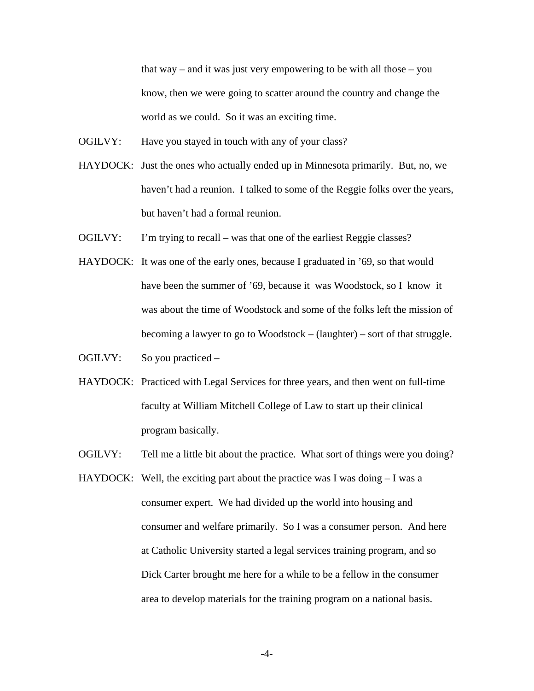that way – and it was just very empowering to be with all those – you know, then we were going to scatter around the country and change the world as we could. So it was an exciting time.

- OGILVY: Have you stayed in touch with any of your class?
- HAYDOCK: Just the ones who actually ended up in Minnesota primarily. But, no, we haven't had a reunion. I talked to some of the Reggie folks over the years, but haven't had a formal reunion.
- OGILVY: I'm trying to recall was that one of the earliest Reggie classes?
- HAYDOCK: It was one of the early ones, because I graduated in '69, so that would have been the summer of '69, because it was Woodstock, so I know it was about the time of Woodstock and some of the folks left the mission of becoming a lawyer to go to Woodstock – (laughter) – sort of that struggle.
- OGILVY: So you practiced –
- HAYDOCK: Practiced with Legal Services for three years, and then went on full-time faculty at William Mitchell College of Law to start up their clinical program basically.
- OGILVY: Tell me a little bit about the practice. What sort of things were you doing?
- HAYDOCK: Well, the exciting part about the practice was I was doing  $-I$  was a consumer expert. We had divided up the world into housing and consumer and welfare primarily. So I was a consumer person. And here at Catholic University started a legal services training program, and so Dick Carter brought me here for a while to be a fellow in the consumer area to develop materials for the training program on a national basis.

-4-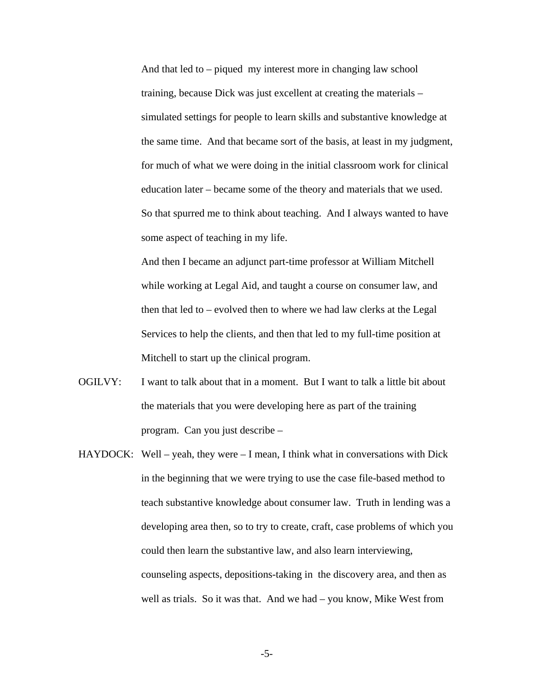And that led to – piqued my interest more in changing law school training, because Dick was just excellent at creating the materials – simulated settings for people to learn skills and substantive knowledge at the same time. And that became sort of the basis, at least in my judgment, for much of what we were doing in the initial classroom work for clinical education later – became some of the theory and materials that we used. So that spurred me to think about teaching. And I always wanted to have some aspect of teaching in my life.

And then I became an adjunct part-time professor at William Mitchell while working at Legal Aid, and taught a course on consumer law, and then that led to – evolved then to where we had law clerks at the Legal Services to help the clients, and then that led to my full-time position at Mitchell to start up the clinical program.

- OGILVY: I want to talk about that in a moment. But I want to talk a little bit about the materials that you were developing here as part of the training program. Can you just describe –
- $HAYDOCK: Well year, they were I mean, I think what in conversations with Dick$ in the beginning that we were trying to use the case file-based method to teach substantive knowledge about consumer law. Truth in lending was a developing area then, so to try to create, craft, case problems of which you could then learn the substantive law, and also learn interviewing, counseling aspects, depositions-taking in the discovery area, and then as well as trials. So it was that. And we had – you know, Mike West from

-5-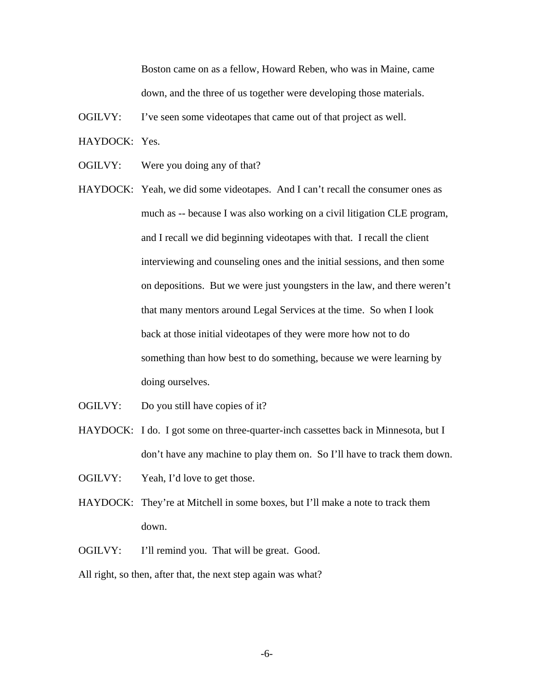Boston came on as a fellow, Howard Reben, who was in Maine, came down, and the three of us together were developing those materials.

- OGILVY: I've seen some videotapes that came out of that project as well.
- HAYDOCK: Yes.
- OGILVY: Were you doing any of that?
- HAYDOCK: Yeah, we did some videotapes. And I can't recall the consumer ones as much as -- because I was also working on a civil litigation CLE program, and I recall we did beginning videotapes with that. I recall the client interviewing and counseling ones and the initial sessions, and then some on depositions. But we were just youngsters in the law, and there weren't that many mentors around Legal Services at the time. So when I look back at those initial videotapes of they were more how not to do something than how best to do something, because we were learning by doing ourselves.
- OGILVY: Do you still have copies of it?
- HAYDOCK: I do. I got some on three-quarter-inch cassettes back in Minnesota, but I don't have any machine to play them on. So I'll have to track them down.
- OGILVY: Yeah, I'd love to get those.
- HAYDOCK: They're at Mitchell in some boxes, but I'll make a note to track them down.
- OGILVY: I'll remind you. That will be great. Good.

All right, so then, after that, the next step again was what?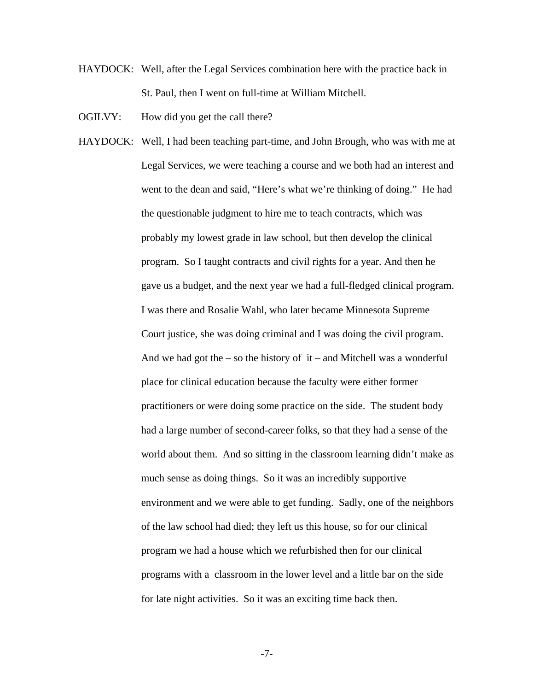- HAYDOCK: Well, after the Legal Services combination here with the practice back in St. Paul, then I went on full-time at William Mitchell.
- OGILVY: How did you get the call there?
- HAYDOCK: Well, I had been teaching part-time, and John Brough, who was with me at Legal Services, we were teaching a course and we both had an interest and went to the dean and said, "Here's what we're thinking of doing." He had the questionable judgment to hire me to teach contracts, which was probably my lowest grade in law school, but then develop the clinical program. So I taught contracts and civil rights for a year. And then he gave us a budget, and the next year we had a full-fledged clinical program. I was there and Rosalie Wahl, who later became Minnesota Supreme Court justice, she was doing criminal and I was doing the civil program. And we had got the  $-$  so the history of  $it$  – and Mitchell was a wonderful place for clinical education because the faculty were either former practitioners or were doing some practice on the side. The student body had a large number of second-career folks, so that they had a sense of the world about them. And so sitting in the classroom learning didn't make as much sense as doing things. So it was an incredibly supportive environment and we were able to get funding. Sadly, one of the neighbors of the law school had died; they left us this house, so for our clinical program we had a house which we refurbished then for our clinical programs with a classroom in the lower level and a little bar on the side for late night activities. So it was an exciting time back then.
	- -7-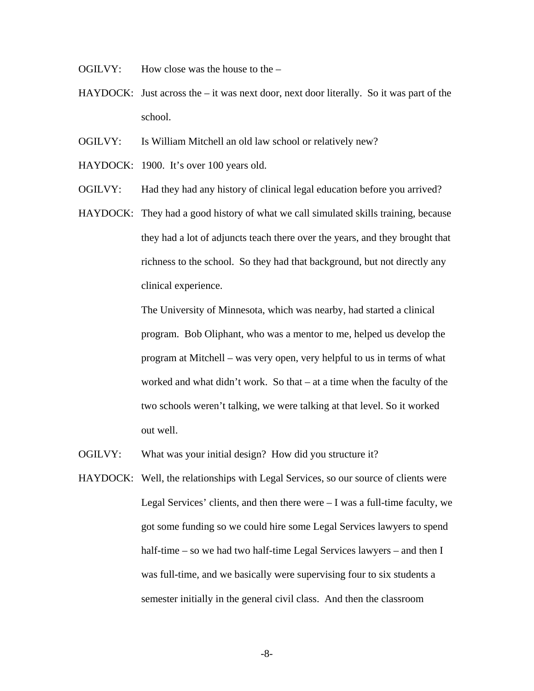- OGILVY: How close was the house to the –
- $HAYDOCK:$  Just across the  $-$  it was next door, next door literally. So it was part of the school.
- OGILVY: Is William Mitchell an old law school or relatively new?
- HAYDOCK: 1900. It's over 100 years old.
- OGILVY: Had they had any history of clinical legal education before you arrived?
- HAYDOCK: They had a good history of what we call simulated skills training, because they had a lot of adjuncts teach there over the years, and they brought that richness to the school. So they had that background, but not directly any clinical experience.

The University of Minnesota, which was nearby, had started a clinical program. Bob Oliphant, who was a mentor to me, helped us develop the program at Mitchell – was very open, very helpful to us in terms of what worked and what didn't work. So that – at a time when the faculty of the two schools weren't talking, we were talking at that level. So it worked out well.

- OGILVY: What was your initial design? How did you structure it?
- HAYDOCK: Well, the relationships with Legal Services, so our source of clients were Legal Services' clients, and then there were  $-I$  was a full-time faculty, we got some funding so we could hire some Legal Services lawyers to spend half-time – so we had two half-time Legal Services lawyers – and then I was full-time, and we basically were supervising four to six students a semester initially in the general civil class. And then the classroom

-8-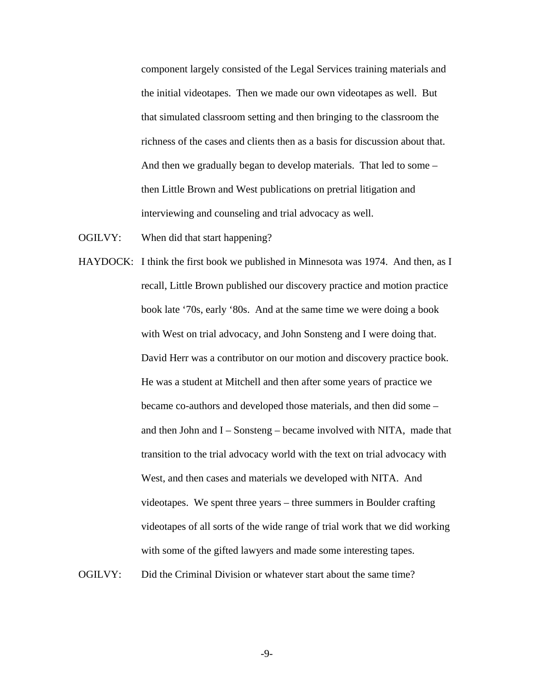component largely consisted of the Legal Services training materials and the initial videotapes. Then we made our own videotapes as well. But that simulated classroom setting and then bringing to the classroom the richness of the cases and clients then as a basis for discussion about that. And then we gradually began to develop materials. That led to some – then Little Brown and West publications on pretrial litigation and interviewing and counseling and trial advocacy as well.

- OGILVY: When did that start happening?
- HAYDOCK: I think the first book we published in Minnesota was 1974. And then, as I recall, Little Brown published our discovery practice and motion practice book late '70s, early '80s. And at the same time we were doing a book with West on trial advocacy, and John Sonsteng and I were doing that. David Herr was a contributor on our motion and discovery practice book. He was a student at Mitchell and then after some years of practice we became co-authors and developed those materials, and then did some – and then John and I – Sonsteng – became involved with NITA, made that transition to the trial advocacy world with the text on trial advocacy with West, and then cases and materials we developed with NITA. And videotapes. We spent three years – three summers in Boulder crafting videotapes of all sorts of the wide range of trial work that we did working with some of the gifted lawyers and made some interesting tapes. OGILVY: Did the Criminal Division or whatever start about the same time?

-9-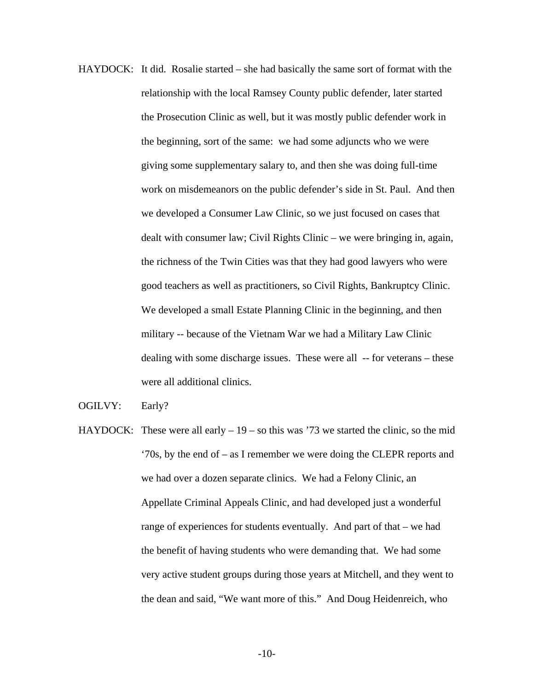- HAYDOCK: It did. Rosalie started she had basically the same sort of format with the relationship with the local Ramsey County public defender, later started the Prosecution Clinic as well, but it was mostly public defender work in the beginning, sort of the same: we had some adjuncts who we were giving some supplementary salary to, and then she was doing full-time work on misdemeanors on the public defender's side in St. Paul. And then we developed a Consumer Law Clinic, so we just focused on cases that dealt with consumer law; Civil Rights Clinic – we were bringing in, again, the richness of the Twin Cities was that they had good lawyers who were good teachers as well as practitioners, so Civil Rights, Bankruptcy Clinic. We developed a small Estate Planning Clinic in the beginning, and then military -- because of the Vietnam War we had a Military Law Clinic dealing with some discharge issues. These were all -- for veterans – these were all additional clinics.
- OGILVY: Early?
- HAYDOCK: These were all early  $-19 -$  so this was '73 we started the clinic, so the mid '70s, by the end of – as I remember we were doing the CLEPR reports and we had over a dozen separate clinics. We had a Felony Clinic, an Appellate Criminal Appeals Clinic, and had developed just a wonderful range of experiences for students eventually. And part of that – we had the benefit of having students who were demanding that. We had some very active student groups during those years at Mitchell, and they went to the dean and said, "We want more of this." And Doug Heidenreich, who

-10-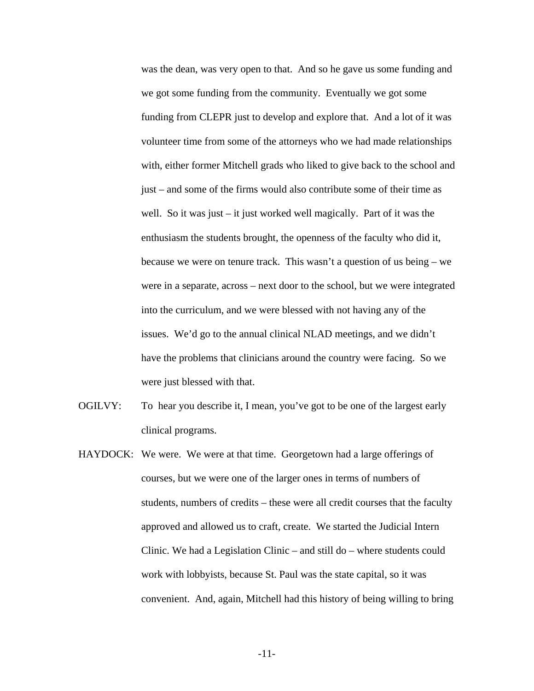was the dean, was very open to that. And so he gave us some funding and we got some funding from the community. Eventually we got some funding from CLEPR just to develop and explore that. And a lot of it was volunteer time from some of the attorneys who we had made relationships with, either former Mitchell grads who liked to give back to the school and just – and some of the firms would also contribute some of their time as well. So it was just – it just worked well magically. Part of it was the enthusiasm the students brought, the openness of the faculty who did it, because we were on tenure track. This wasn't a question of us being – we were in a separate, across – next door to the school, but we were integrated into the curriculum, and we were blessed with not having any of the issues. We'd go to the annual clinical NLAD meetings, and we didn't have the problems that clinicians around the country were facing. So we were just blessed with that.

- OGILVY: To hear you describe it, I mean, you've got to be one of the largest early clinical programs.
- HAYDOCK: We were. We were at that time. Georgetown had a large offerings of courses, but we were one of the larger ones in terms of numbers of students, numbers of credits – these were all credit courses that the faculty approved and allowed us to craft, create. We started the Judicial Intern Clinic. We had a Legislation Clinic – and still do – where students could work with lobbyists, because St. Paul was the state capital, so it was convenient. And, again, Mitchell had this history of being willing to bring

-11-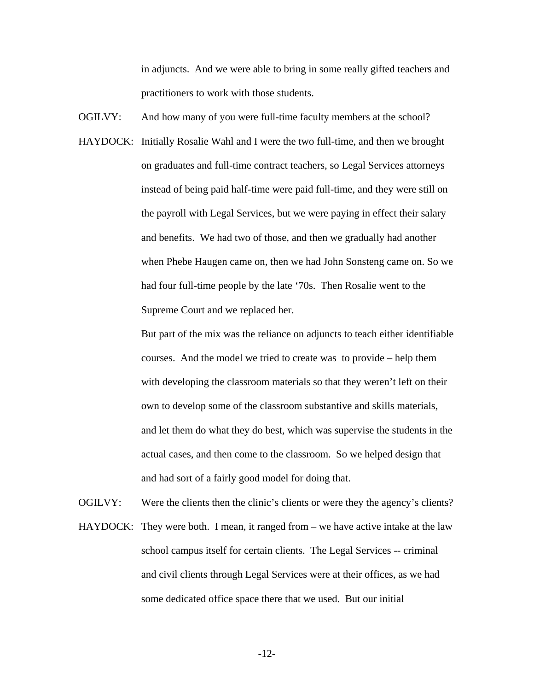in adjuncts. And we were able to bring in some really gifted teachers and practitioners to work with those students.

- OGILVY: And how many of you were full-time faculty members at the school?
- HAYDOCK: Initially Rosalie Wahl and I were the two full-time, and then we brought on graduates and full-time contract teachers, so Legal Services attorneys instead of being paid half-time were paid full-time, and they were still on the payroll with Legal Services, but we were paying in effect their salary and benefits. We had two of those, and then we gradually had another when Phebe Haugen came on, then we had John Sonsteng came on. So we had four full-time people by the late '70s. Then Rosalie went to the Supreme Court and we replaced her.

But part of the mix was the reliance on adjuncts to teach either identifiable courses. And the model we tried to create was to provide – help them with developing the classroom materials so that they weren't left on their own to develop some of the classroom substantive and skills materials, and let them do what they do best, which was supervise the students in the actual cases, and then come to the classroom. So we helped design that and had sort of a fairly good model for doing that.

OGILVY: Were the clients then the clinic's clients or were they the agency's clients? HAYDOCK: They were both. I mean, it ranged from – we have active intake at the law school campus itself for certain clients. The Legal Services -- criminal and civil clients through Legal Services were at their offices, as we had some dedicated office space there that we used. But our initial

-12-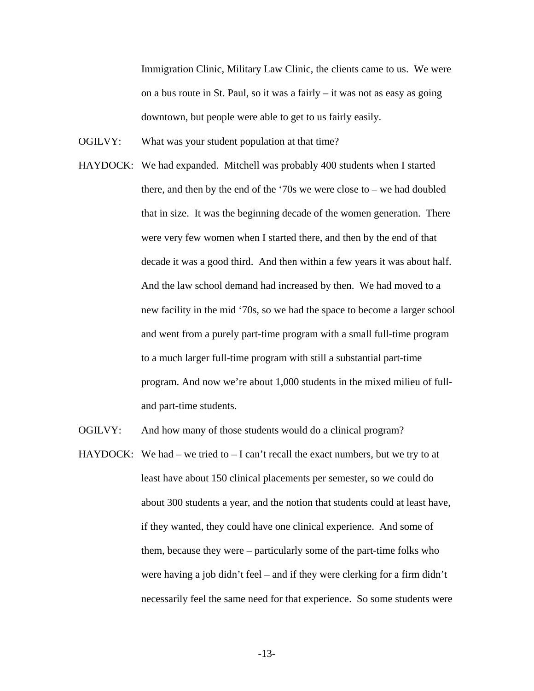Immigration Clinic, Military Law Clinic, the clients came to us. We were on a bus route in St. Paul, so it was a fairly – it was not as easy as going downtown, but people were able to get to us fairly easily.

- OGILVY: What was your student population at that time?
- HAYDOCK: We had expanded. Mitchell was probably 400 students when I started there, and then by the end of the '70s we were close to – we had doubled that in size. It was the beginning decade of the women generation. There were very few women when I started there, and then by the end of that decade it was a good third. And then within a few years it was about half. And the law school demand had increased by then. We had moved to a new facility in the mid '70s, so we had the space to become a larger school and went from a purely part-time program with a small full-time program to a much larger full-time program with still a substantial part-time program. And now we're about 1,000 students in the mixed milieu of fulland part-time students.
- OGILVY: And how many of those students would do a clinical program?
- HAYDOCK: We had we tried to  $-1$  can't recall the exact numbers, but we try to at least have about 150 clinical placements per semester, so we could do about 300 students a year, and the notion that students could at least have, if they wanted, they could have one clinical experience. And some of them, because they were – particularly some of the part-time folks who were having a job didn't feel – and if they were clerking for a firm didn't necessarily feel the same need for that experience. So some students were

-13-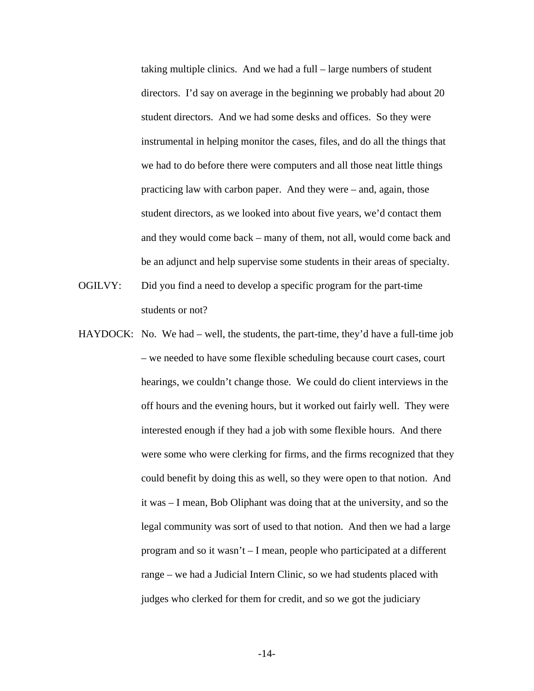taking multiple clinics. And we had a full – large numbers of student directors. I'd say on average in the beginning we probably had about 20 student directors. And we had some desks and offices. So they were instrumental in helping monitor the cases, files, and do all the things that we had to do before there were computers and all those neat little things practicing law with carbon paper. And they were – and, again, those student directors, as we looked into about five years, we'd contact them and they would come back – many of them, not all, would come back and be an adjunct and help supervise some students in their areas of specialty.

- OGILVY: Did you find a need to develop a specific program for the part-time students or not?
- HAYDOCK: No. We had well, the students, the part-time, they'd have a full-time job – we needed to have some flexible scheduling because court cases, court hearings, we couldn't change those. We could do client interviews in the off hours and the evening hours, but it worked out fairly well. They were interested enough if they had a job with some flexible hours. And there were some who were clerking for firms, and the firms recognized that they could benefit by doing this as well, so they were open to that notion. And it was – I mean, Bob Oliphant was doing that at the university, and so the legal community was sort of used to that notion. And then we had a large program and so it wasn't – I mean, people who participated at a different range – we had a Judicial Intern Clinic, so we had students placed with judges who clerked for them for credit, and so we got the judiciary

-14-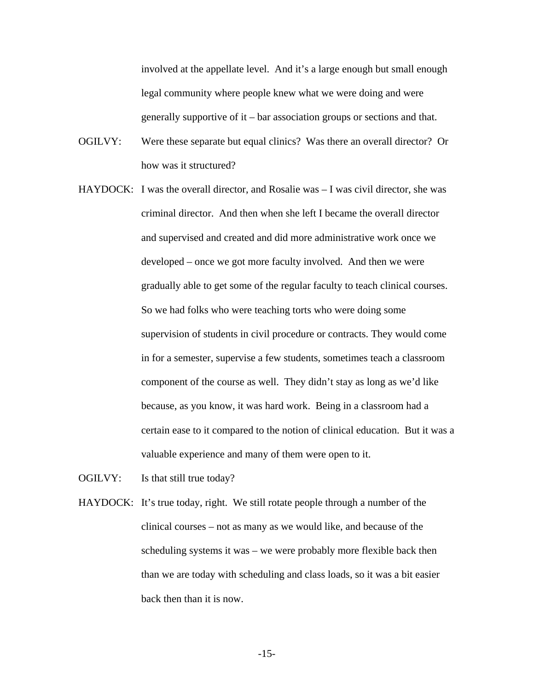involved at the appellate level. And it's a large enough but small enough legal community where people knew what we were doing and were generally supportive of it – bar association groups or sections and that.

- OGILVY: Were these separate but equal clinics? Was there an overall director? Or how was it structured?
- HAYDOCK: I was the overall director, and Rosalie was I was civil director, she was criminal director. And then when she left I became the overall director and supervised and created and did more administrative work once we developed – once we got more faculty involved. And then we were gradually able to get some of the regular faculty to teach clinical courses. So we had folks who were teaching torts who were doing some supervision of students in civil procedure or contracts. They would come in for a semester, supervise a few students, sometimes teach a classroom component of the course as well. They didn't stay as long as we'd like because, as you know, it was hard work. Being in a classroom had a certain ease to it compared to the notion of clinical education. But it was a valuable experience and many of them were open to it.

OGILVY: Is that still true today?

HAYDOCK: It's true today, right. We still rotate people through a number of the clinical courses – not as many as we would like, and because of the scheduling systems it was – we were probably more flexible back then than we are today with scheduling and class loads, so it was a bit easier back then than it is now.

-15-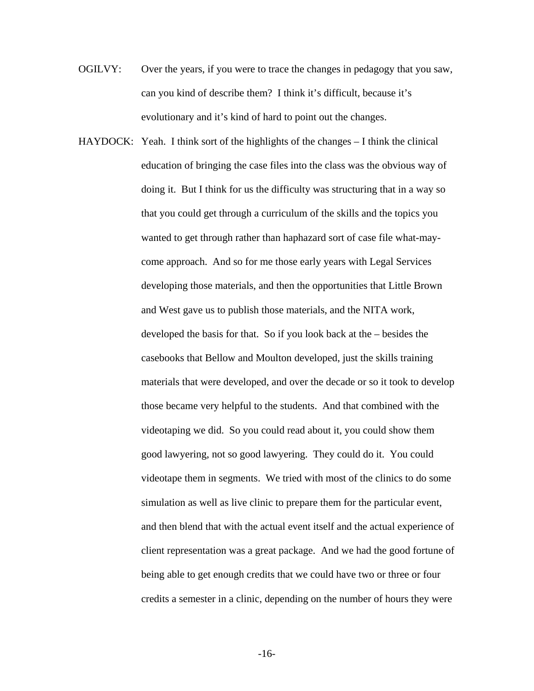- OGILVY: Over the years, if you were to trace the changes in pedagogy that you saw, can you kind of describe them? I think it's difficult, because it's evolutionary and it's kind of hard to point out the changes.
- HAYDOCK: Yeah. I think sort of the highlights of the changes I think the clinical education of bringing the case files into the class was the obvious way of doing it. But I think for us the difficulty was structuring that in a way so that you could get through a curriculum of the skills and the topics you wanted to get through rather than haphazard sort of case file what-maycome approach. And so for me those early years with Legal Services developing those materials, and then the opportunities that Little Brown and West gave us to publish those materials, and the NITA work, developed the basis for that. So if you look back at the – besides the casebooks that Bellow and Moulton developed, just the skills training materials that were developed, and over the decade or so it took to develop those became very helpful to the students. And that combined with the videotaping we did. So you could read about it, you could show them good lawyering, not so good lawyering. They could do it. You could videotape them in segments. We tried with most of the clinics to do some simulation as well as live clinic to prepare them for the particular event, and then blend that with the actual event itself and the actual experience of client representation was a great package. And we had the good fortune of being able to get enough credits that we could have two or three or four credits a semester in a clinic, depending on the number of hours they were

-16-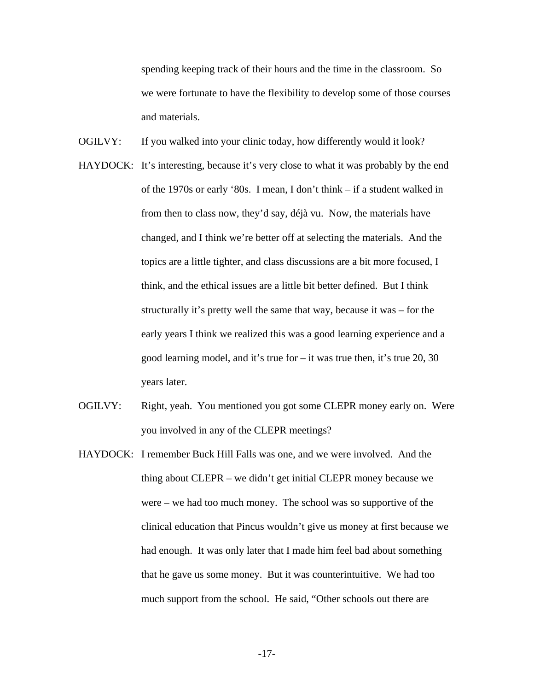spending keeping track of their hours and the time in the classroom. So we were fortunate to have the flexibility to develop some of those courses and materials.

- OGILVY: If you walked into your clinic today, how differently would it look?
- HAYDOCK: It's interesting, because it's very close to what it was probably by the end of the 1970s or early '80s. I mean, I don't think – if a student walked in from then to class now, they'd say, déjà vu. Now, the materials have changed, and I think we're better off at selecting the materials. And the topics are a little tighter, and class discussions are a bit more focused, I think, and the ethical issues are a little bit better defined. But I think structurally it's pretty well the same that way, because it was – for the early years I think we realized this was a good learning experience and a good learning model, and it's true for – it was true then, it's true 20, 30 years later.
- OGILVY: Right, yeah. You mentioned you got some CLEPR money early on. Were you involved in any of the CLEPR meetings?
- HAYDOCK: I remember Buck Hill Falls was one, and we were involved. And the thing about CLEPR – we didn't get initial CLEPR money because we were – we had too much money. The school was so supportive of the clinical education that Pincus wouldn't give us money at first because we had enough. It was only later that I made him feel bad about something that he gave us some money. But it was counterintuitive. We had too much support from the school. He said, "Other schools out there are

-17-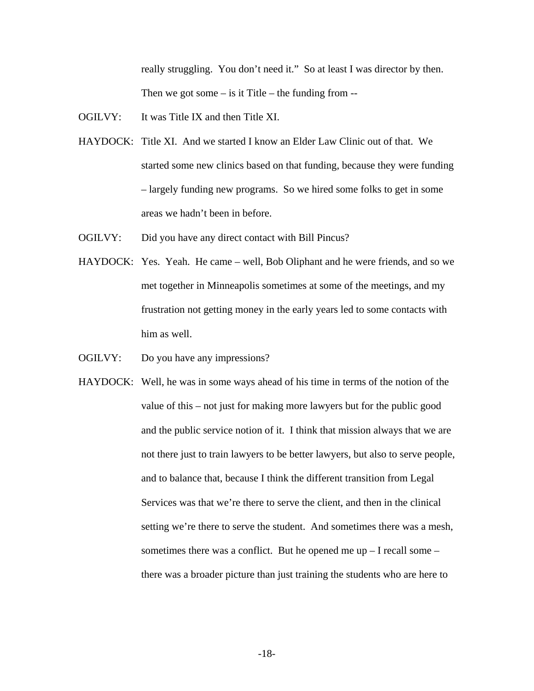really struggling. You don't need it." So at least I was director by then. Then we got some  $-$  is it Title  $-$  the funding from  $-$ 

- OGILVY: It was Title IX and then Title XI.
- HAYDOCK: Title XI. And we started I know an Elder Law Clinic out of that. We started some new clinics based on that funding, because they were funding – largely funding new programs. So we hired some folks to get in some areas we hadn't been in before.
- OGILVY: Did you have any direct contact with Bill Pincus?
- HAYDOCK: Yes. Yeah. He came well, Bob Oliphant and he were friends, and so we met together in Minneapolis sometimes at some of the meetings, and my frustration not getting money in the early years led to some contacts with him as well.
- OGILVY: Do you have any impressions?
- HAYDOCK: Well, he was in some ways ahead of his time in terms of the notion of the value of this – not just for making more lawyers but for the public good and the public service notion of it. I think that mission always that we are not there just to train lawyers to be better lawyers, but also to serve people, and to balance that, because I think the different transition from Legal Services was that we're there to serve the client, and then in the clinical setting we're there to serve the student. And sometimes there was a mesh, sometimes there was a conflict. But he opened me  $up-I$  recall some – there was a broader picture than just training the students who are here to

-18-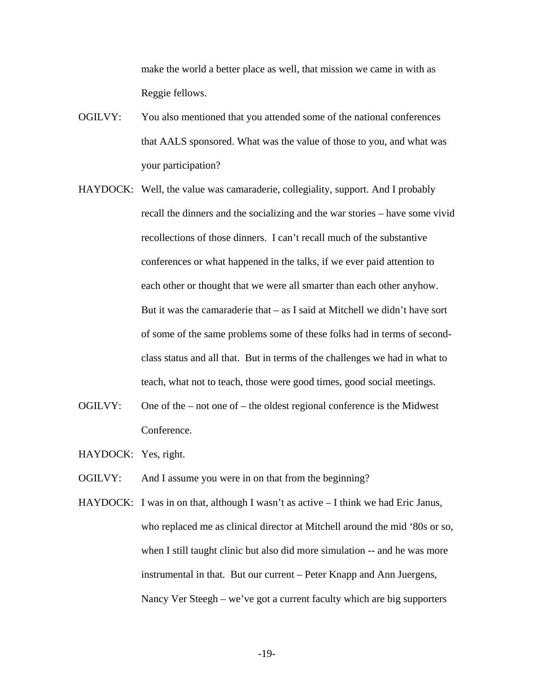make the world a better place as well, that mission we came in with as Reggie fellows.

- OGILVY: You also mentioned that you attended some of the national conferences that AALS sponsored. What was the value of those to you, and what was your participation?
- HAYDOCK: Well, the value was camaraderie, collegiality, support. And I probably recall the dinners and the socializing and the war stories – have some vivid recollections of those dinners. I can't recall much of the substantive conferences or what happened in the talks, if we ever paid attention to each other or thought that we were all smarter than each other anyhow. But it was the camaraderie that  $-$  as I said at Mitchell we didn't have sort of some of the same problems some of these folks had in terms of secondclass status and all that. But in terms of the challenges we had in what to teach, what not to teach, those were good times, good social meetings.
- OGILVY: One of the not one of the oldest regional conference is the Midwest Conference.
- HAYDOCK: Yes, right.
- OGILVY: And I assume you were in on that from the beginning?
- HAYDOCK: I was in on that, although I wasn't as active I think we had Eric Janus, who replaced me as clinical director at Mitchell around the mid '80s or so, when I still taught clinic but also did more simulation -- and he was more instrumental in that. But our current – Peter Knapp and Ann Juergens, Nancy Ver Steegh – we've got a current faculty which are big supporters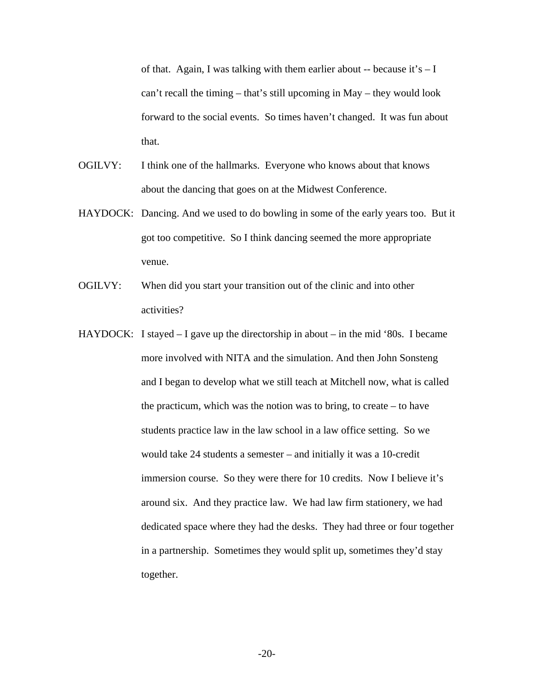of that. Again, I was talking with them earlier about -- because it's  $-1$ can't recall the timing – that's still upcoming in May – they would look forward to the social events. So times haven't changed. It was fun about that.

- OGILVY: I think one of the hallmarks. Everyone who knows about that knows about the dancing that goes on at the Midwest Conference.
- HAYDOCK: Dancing. And we used to do bowling in some of the early years too. But it got too competitive. So I think dancing seemed the more appropriate venue.
- OGILVY: When did you start your transition out of the clinic and into other activities?
- HAYDOCK: I stayed I gave up the directorship in about in the mid '80s. I became more involved with NITA and the simulation. And then John Sonsteng and I began to develop what we still teach at Mitchell now, what is called the practicum, which was the notion was to bring, to create – to have students practice law in the law school in a law office setting. So we would take 24 students a semester – and initially it was a 10-credit immersion course. So they were there for 10 credits. Now I believe it's around six. And they practice law. We had law firm stationery, we had dedicated space where they had the desks. They had three or four together in a partnership. Sometimes they would split up, sometimes they'd stay together.

-20-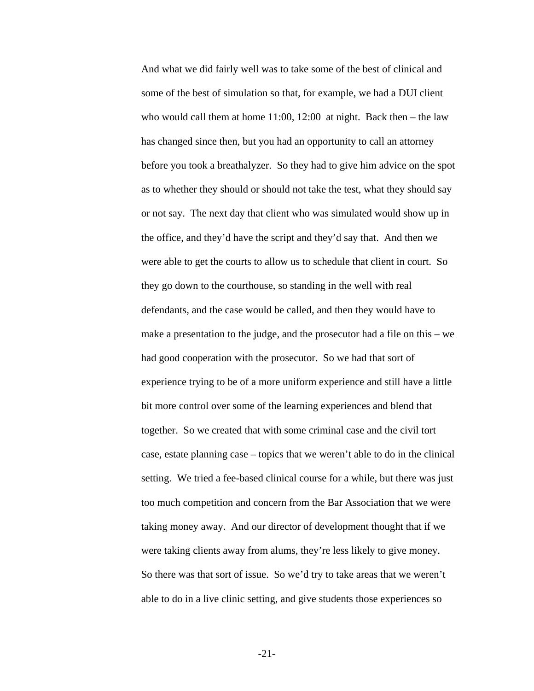And what we did fairly well was to take some of the best of clinical and some of the best of simulation so that, for example, we had a DUI client who would call them at home  $11:00$ ,  $12:00$  at night. Back then – the law has changed since then, but you had an opportunity to call an attorney before you took a breathalyzer. So they had to give him advice on the spot as to whether they should or should not take the test, what they should say or not say. The next day that client who was simulated would show up in the office, and they'd have the script and they'd say that. And then we were able to get the courts to allow us to schedule that client in court. So they go down to the courthouse, so standing in the well with real defendants, and the case would be called, and then they would have to make a presentation to the judge, and the prosecutor had a file on this – we had good cooperation with the prosecutor. So we had that sort of experience trying to be of a more uniform experience and still have a little bit more control over some of the learning experiences and blend that together. So we created that with some criminal case and the civil tort case, estate planning case – topics that we weren't able to do in the clinical setting. We tried a fee-based clinical course for a while, but there was just too much competition and concern from the Bar Association that we were taking money away. And our director of development thought that if we were taking clients away from alums, they're less likely to give money. So there was that sort of issue. So we'd try to take areas that we weren't able to do in a live clinic setting, and give students those experiences so

-21-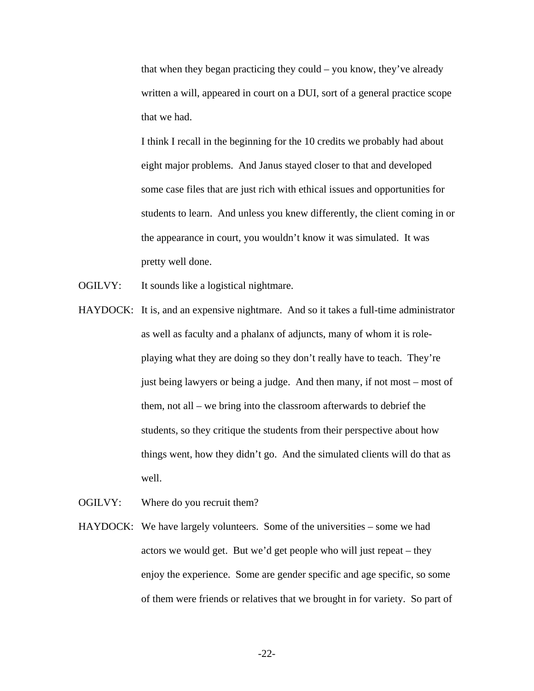that when they began practicing they could – you know, they've already written a will, appeared in court on a DUI, sort of a general practice scope that we had.

I think I recall in the beginning for the 10 credits we probably had about eight major problems. And Janus stayed closer to that and developed some case files that are just rich with ethical issues and opportunities for students to learn. And unless you knew differently, the client coming in or the appearance in court, you wouldn't know it was simulated. It was pretty well done.

- OGILVY: It sounds like a logistical nightmare.
- HAYDOCK: It is, and an expensive nightmare. And so it takes a full-time administrator as well as faculty and a phalanx of adjuncts, many of whom it is roleplaying what they are doing so they don't really have to teach. They're just being lawyers or being a judge. And then many, if not most – most of them, not all – we bring into the classroom afterwards to debrief the students, so they critique the students from their perspective about how things went, how they didn't go. And the simulated clients will do that as well.
- OGILVY: Where do you recruit them?
- HAYDOCK: We have largely volunteers. Some of the universities some we had actors we would get. But we'd get people who will just repeat – they enjoy the experience. Some are gender specific and age specific, so some of them were friends or relatives that we brought in for variety. So part of

-22-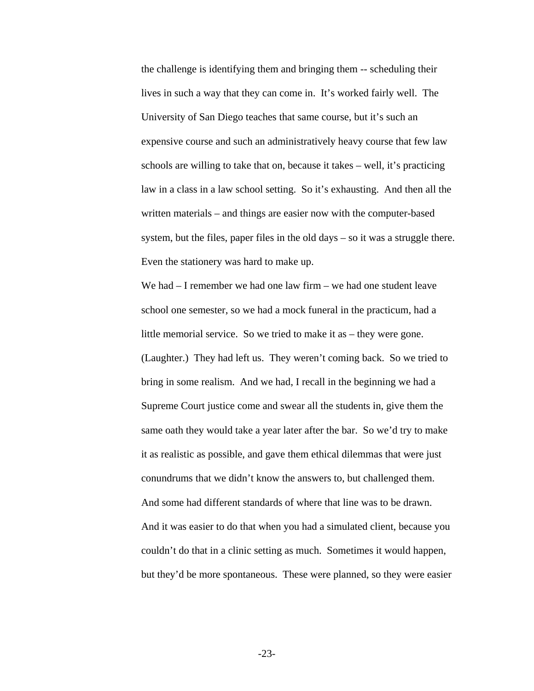the challenge is identifying them and bringing them -- scheduling their lives in such a way that they can come in. It's worked fairly well. The University of San Diego teaches that same course, but it's such an expensive course and such an administratively heavy course that few law schools are willing to take that on, because it takes – well, it's practicing law in a class in a law school setting. So it's exhausting. And then all the written materials – and things are easier now with the computer-based system, but the files, paper files in the old days – so it was a struggle there. Even the stationery was hard to make up.

We had – I remember we had one law firm – we had one student leave school one semester, so we had a mock funeral in the practicum, had a little memorial service. So we tried to make it as – they were gone. (Laughter.) They had left us. They weren't coming back. So we tried to bring in some realism. And we had, I recall in the beginning we had a Supreme Court justice come and swear all the students in, give them the same oath they would take a year later after the bar. So we'd try to make it as realistic as possible, and gave them ethical dilemmas that were just conundrums that we didn't know the answers to, but challenged them. And some had different standards of where that line was to be drawn. And it was easier to do that when you had a simulated client, because you couldn't do that in a clinic setting as much. Sometimes it would happen, but they'd be more spontaneous. These were planned, so they were easier

-23-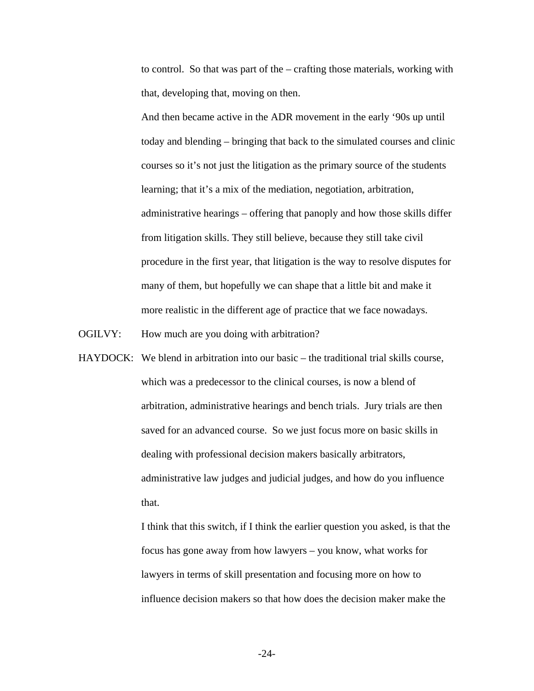to control. So that was part of the – crafting those materials, working with that, developing that, moving on then.

And then became active in the ADR movement in the early '90s up until today and blending – bringing that back to the simulated courses and clinic courses so it's not just the litigation as the primary source of the students learning; that it's a mix of the mediation, negotiation, arbitration, administrative hearings – offering that panoply and how those skills differ from litigation skills. They still believe, because they still take civil procedure in the first year, that litigation is the way to resolve disputes for many of them, but hopefully we can shape that a little bit and make it more realistic in the different age of practice that we face nowadays.

OGILVY: How much are you doing with arbitration?

HAYDOCK: We blend in arbitration into our basic – the traditional trial skills course, which was a predecessor to the clinical courses, is now a blend of arbitration, administrative hearings and bench trials. Jury trials are then saved for an advanced course. So we just focus more on basic skills in dealing with professional decision makers basically arbitrators, administrative law judges and judicial judges, and how do you influence that.

> I think that this switch, if I think the earlier question you asked, is that the focus has gone away from how lawyers – you know, what works for lawyers in terms of skill presentation and focusing more on how to influence decision makers so that how does the decision maker make the

> > -24-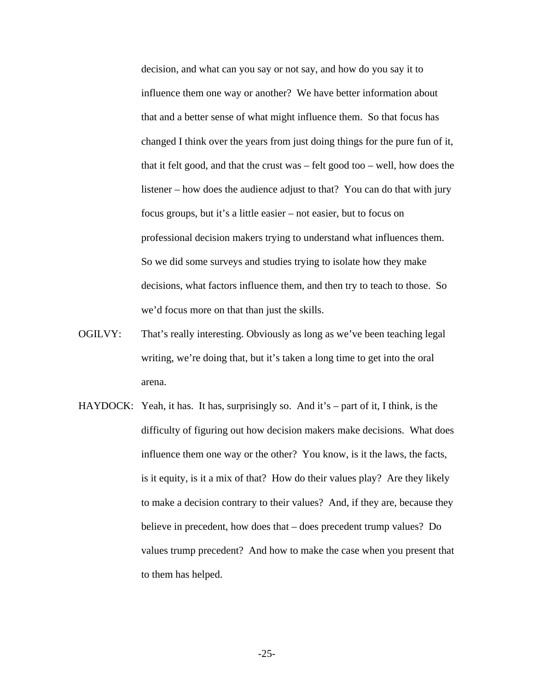decision, and what can you say or not say, and how do you say it to influence them one way or another? We have better information about that and a better sense of what might influence them. So that focus has changed I think over the years from just doing things for the pure fun of it, that it felt good, and that the crust was – felt good too – well, how does the listener – how does the audience adjust to that? You can do that with jury focus groups, but it's a little easier – not easier, but to focus on professional decision makers trying to understand what influences them. So we did some surveys and studies trying to isolate how they make decisions, what factors influence them, and then try to teach to those. So we'd focus more on that than just the skills.

- OGILVY: That's really interesting. Obviously as long as we've been teaching legal writing, we're doing that, but it's taken a long time to get into the oral arena.
- HAYDOCK: Yeah, it has. It has, surprisingly so. And it's part of it, I think, is the difficulty of figuring out how decision makers make decisions. What does influence them one way or the other? You know, is it the laws, the facts, is it equity, is it a mix of that? How do their values play? Are they likely to make a decision contrary to their values? And, if they are, because they believe in precedent, how does that – does precedent trump values? Do values trump precedent? And how to make the case when you present that to them has helped.

-25-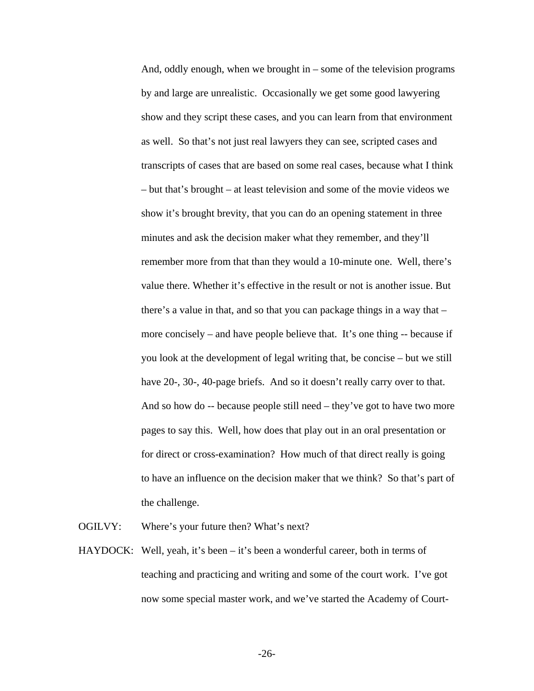And, oddly enough, when we brought in – some of the television programs by and large are unrealistic. Occasionally we get some good lawyering show and they script these cases, and you can learn from that environment as well. So that's not just real lawyers they can see, scripted cases and transcripts of cases that are based on some real cases, because what I think – but that's brought – at least television and some of the movie videos we show it's brought brevity, that you can do an opening statement in three minutes and ask the decision maker what they remember, and they'll remember more from that than they would a 10-minute one. Well, there's value there. Whether it's effective in the result or not is another issue. But there's a value in that, and so that you can package things in a way that – more concisely – and have people believe that. It's one thing -- because if you look at the development of legal writing that, be concise – but we still have 20-, 30-, 40-page briefs. And so it doesn't really carry over to that. And so how do -- because people still need – they've got to have two more pages to say this. Well, how does that play out in an oral presentation or for direct or cross-examination? How much of that direct really is going to have an influence on the decision maker that we think? So that's part of the challenge.

OGILVY: Where's your future then? What's next?

HAYDOCK: Well, yeah, it's been – it's been a wonderful career, both in terms of teaching and practicing and writing and some of the court work. I've got now some special master work, and we've started the Academy of Court-

-26-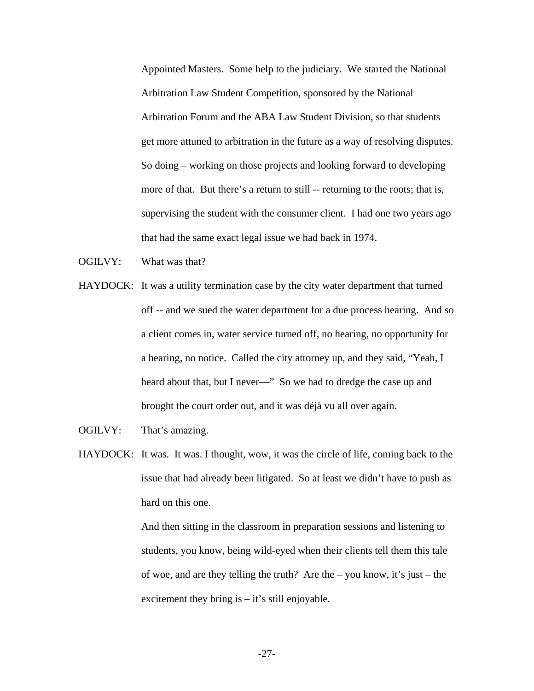Appointed Masters. Some help to the judiciary. We started the National Arbitration Law Student Competition, sponsored by the National Arbitration Forum and the ABA Law Student Division, so that students get more attuned to arbitration in the future as a way of resolving disputes. So doing – working on those projects and looking forward to developing more of that. But there's a return to still -- returning to the roots; that is, supervising the student with the consumer client. I had one two years ago that had the same exact legal issue we had back in 1974.

- OGILVY: What was that?
- HAYDOCK: It was a utility termination case by the city water department that turned off -- and we sued the water department for a due process hearing. And so a client comes in, water service turned off, no hearing, no opportunity for a hearing, no notice. Called the city attorney up, and they said, "Yeah, I heard about that, but I never-" So we had to dredge the case up and brought the court order out, and it was déjà vu all over again.
- OGILVY: That's amazing.
- HAYDOCK: It was. It was. I thought, wow, it was the circle of life, coming back to the issue that had already been litigated. So at least we didn't have to push as hard on this one.

And then sitting in the classroom in preparation sessions and listening to students, you know, being wild-eyed when their clients tell them this tale of woe, and are they telling the truth? Are the – you know, it's just – the excitement they bring is  $-$  it's still enjoyable.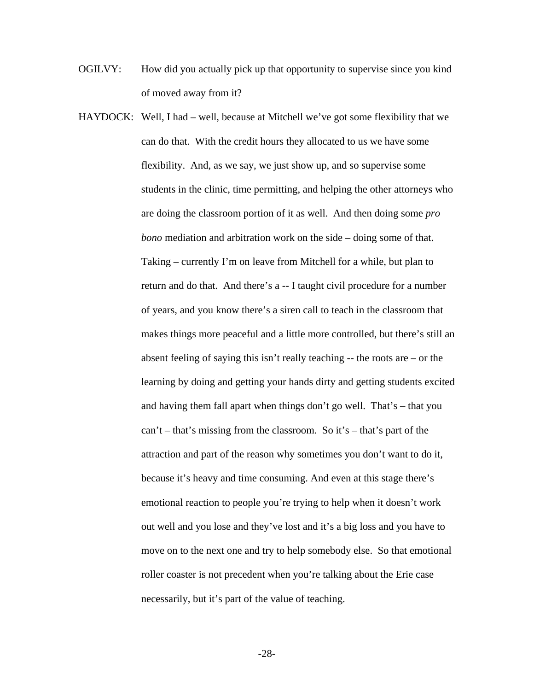- OGILVY: How did you actually pick up that opportunity to supervise since you kind of moved away from it?
- HAYDOCK: Well, I had well, because at Mitchell we've got some flexibility that we can do that. With the credit hours they allocated to us we have some flexibility. And, as we say, we just show up, and so supervise some students in the clinic, time permitting, and helping the other attorneys who are doing the classroom portion of it as well. And then doing some *pro bono* mediation and arbitration work on the side – doing some of that. Taking – currently I'm on leave from Mitchell for a while, but plan to return and do that. And there's a -- I taught civil procedure for a number of years, and you know there's a siren call to teach in the classroom that makes things more peaceful and a little more controlled, but there's still an absent feeling of saying this isn't really teaching -- the roots are – or the learning by doing and getting your hands dirty and getting students excited and having them fall apart when things don't go well. That's – that you can't – that's missing from the classroom. So it's – that's part of the attraction and part of the reason why sometimes you don't want to do it, because it's heavy and time consuming. And even at this stage there's emotional reaction to people you're trying to help when it doesn't work out well and you lose and they've lost and it's a big loss and you have to move on to the next one and try to help somebody else. So that emotional roller coaster is not precedent when you're talking about the Erie case necessarily, but it's part of the value of teaching.

-28-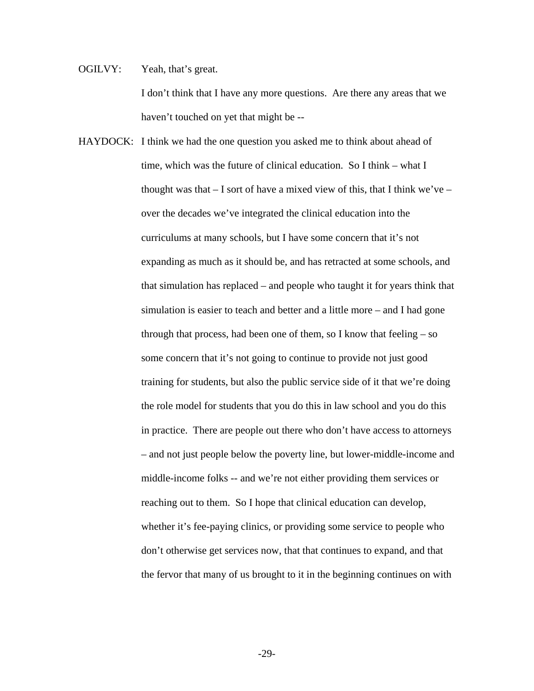OGILVY: Yeah, that's great. I don't think that I have any more questions. Are there any areas that we haven't touched on yet that might be --

HAYDOCK: I think we had the one question you asked me to think about ahead of time, which was the future of clinical education. So I think – what I thought was that  $-$  I sort of have a mixed view of this, that I think we've – over the decades we've integrated the clinical education into the curriculums at many schools, but I have some concern that it's not expanding as much as it should be, and has retracted at some schools, and that simulation has replaced – and people who taught it for years think that simulation is easier to teach and better and a little more – and I had gone through that process, had been one of them, so I know that feeling  $-$  so some concern that it's not going to continue to provide not just good training for students, but also the public service side of it that we're doing the role model for students that you do this in law school and you do this in practice. There are people out there who don't have access to attorneys – and not just people below the poverty line, but lower-middle-income and middle-income folks -- and we're not either providing them services or reaching out to them. So I hope that clinical education can develop, whether it's fee-paying clinics, or providing some service to people who don't otherwise get services now, that that continues to expand, and that the fervor that many of us brought to it in the beginning continues on with

-29-